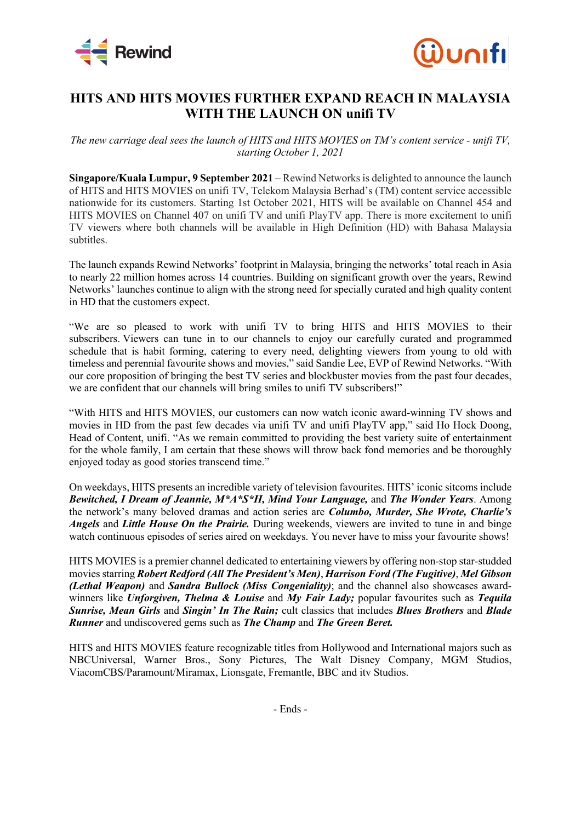



## **HITS AND HITS MOVIES FURTHER EXPAND REACH IN MALAYSIA WITH THE LAUNCH ON unifi TV**

## *The new carriage deal sees the launch of HITS and HITS MOVIES on TM's content service - unifi TV, starting October 1, 2021*

**Singapore/Kuala Lumpur, 9 September 2021 –** Rewind Networks is delighted to announce the launch of HITS and HITS MOVIES on unifi TV, Telekom Malaysia Berhad's (TM) content service accessible nationwide for its customers. Starting 1st October 2021, HITS will be available on Channel 454 and HITS MOVIES on Channel 407 on unifi TV and unifi PlayTV app. There is more excitement to unifi TV viewers where both channels will be available in High Definition (HD) with Bahasa Malaysia subtitles.

The launch expands Rewind Networks' footprint in Malaysia, bringing the networks' total reach in Asia to nearly 22 million homes across 14 countries. Building on significant growth over the years, Rewind Networks' launches continue to align with the strong need for specially curated and high quality content in HD that the customers expect.

"We are so pleased to work with unifi TV to bring HITS and HITS MOVIES to their subscribers. Viewers can tune in to our channels to enjoy our carefully curated and programmed schedule that is habit forming, catering to every need, delighting viewers from young to old with timeless and perennial favourite shows and movies," said Sandie Lee, EVP of Rewind Networks. "With our core proposition of bringing the best TV series and blockbuster movies from the past four decades, we are confident that our channels will bring smiles to unifi TV subscribers!"

"With HITS and HITS MOVIES, our customers can now watch iconic award-winning TV shows and movies in HD from the past few decades via unifi TV and unifi PlayTV app," said Ho Hock Doong, Head of Content, unifi. "As we remain committed to providing the best variety suite of entertainment for the whole family, I am certain that these shows will throw back fond memories and be thoroughly enjoyed today as good stories transcend time."

On weekdays, HITS presents an incredible variety of television favourites. HITS' iconic sitcoms include *Bewitched, I Dream of Jeannie, M\*A\*S\*H, Mind Your Language,* and *The Wonder Years*. Among the network's many beloved dramas and action series are *Columbo, Murder, She Wrote, Charlie's Angels* and *Little House On the Prairie.* During weekends, viewers are invited to tune in and binge watch continuous episodes of series aired on weekdays. You never have to miss your favourite shows!

HITS MOVIES is a premier channel dedicated to entertaining viewers by offering non-stop star-studded movies starring *Robert Redford (All The President's Men)*, *Harrison Ford (The Fugitive)*, *Mel Gibson (Lethal Weapon)* and *Sandra Bullock (Miss Congeniality)*; and the channel also showcases awardwinners like *Unforgiven, Thelma & Louise* and *My Fair Lady;* popular favourites such as *Tequila Sunrise, Mean Girls* and *Singin' In The Rain;* cult classics that includes *Blues Brothers* and *Blade Runner* and undiscovered gems such as *The Champ* and *The Green Beret.*

HITS and HITS MOVIES feature recognizable titles from Hollywood and International majors such as NBCUniversal, Warner Bros., Sony Pictures, The Walt Disney Company, MGM Studios, ViacomCBS/Paramount/Miramax, Lionsgate, Fremantle, BBC and itv Studios.